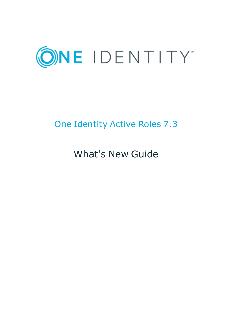

# One Identity Active Roles 7.3

What's New Guide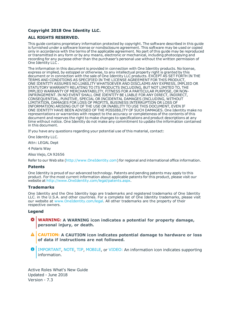#### **Copyright 2018 One Identity LLC.**

#### **ALL RIGHTS RESERVED.**

This guide contains proprietary information protected by copyright. The software described in this guide is furnished under a software license or nondisclosure agreement. This software may be used or copied only in accordance with the terms of the applicable agreement. No part of this guide may be reproduced or transmitted in any form or by any means, electronic or mechanical, including photocopying and recording for any purpose other than the purchaser's personal use without the written permission of One Identity LLC .

The information in this document is provided in connection with One Identity products. No license, express or implied, by estoppel or otherwise, to any intellectual property right is granted by this document or in connection with the sale of One Identity LLC products. EXCEPT AS SET FORTH IN THE TERMS AND CONDITIONS AS SPECIFIED IN THE LICENSE AGREEMENT FOR THIS PRODUCT, ONE IDENTITY ASSUMES NO LIABILITY WHATSOEVER AND DISCLAIMS ANY EXPRESS, IMPLIED OR STATUTORY WARRANTY RELATING TO ITS PRODUCTS INCLUDING, BUT NOT LIMITED TO, THE IMPLIED WARRANTY OF MERCHANTABILITY, FITNESS FOR A PARTICULAR PURPOSE, OR NON-INFRINGEMENT. IN NO EVENT SHALL ONE IDENTITY BE LIABLE FOR ANY DIRECT, INDIRECT, CONSEQUENTIAL, PUNITIVE, SPECIAL OR INCIDENTAL DAMAGES (INCLUDING, WITHOUT LIMITATION, DAMAGES FOR LOSS OF PROFITS, BUSINESS INTERRUPTION OR LOSS OF INFORMATION) ARISING OUT OF THE USE OR INABILITY TO USE THIS DOCUMENT, EVEN IF ONE IDENTITY HAVE BEEN ADVISED OF THE POSSIBILITY OF SUCH DAMAGES. One Identity make no representations or warranties with respect to the accuracy or completeness of the contents of this document and reserves the right to make changes to specifications and product descriptions at any time without notice. One Identity do not make any commitment to update the information contained in this document.

If you have any questions regarding your potential use of this material, contact:

One Identity LLC.

Attn: LEGAL Dept

4 Polaris Way

Aliso Viejo, CA 92656

Refer to our Web site ([http://www.OneIdentity.com](http://www.oneidentity.com/)) for regional and international office information.

#### **Patents**

One Identity is proud of our advanced technology. Patents and pending patents may apply to this product. For the most current information about applicable patents for this product, please visit our website at [http://www.OneIdentity.com/legal/patents.aspx](http://www.oneidentity.com/legal/patents.aspx).

#### **Trademarks**

One Identity and the One Identity logo are trademarks and registered trademarks of One Identity LLC. in the U.S.A. and other countries. For a complete list of One Identity trademarks, please visit our website at [www.OneIdentity.com/legal](http://www.oneidentity.com/legal). All other trademarks are the property of their respective owners.

#### **Legend**

- **WARNING: A WARNING icon indicates a potential for property damage, personal injury, or death.**
- **CAUTION: A CAUTION icon indicates potential damage to hardware or loss of data if instructions are not followed.**
- Œ IMPORTANT, NOTE, TIP, MOBILE, or VIDEO: An information icon indicates supporting information.

Active Roles What's New Guide Updated - June 2018 Version - 7.3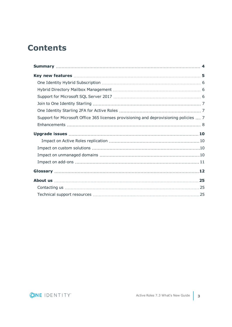## **Contents**

| Support for Microsoft Office 365 licenses provisioning and deprovisioning policies  7 |  |
|---------------------------------------------------------------------------------------|--|
|                                                                                       |  |
|                                                                                       |  |
|                                                                                       |  |
|                                                                                       |  |
|                                                                                       |  |
|                                                                                       |  |
|                                                                                       |  |
|                                                                                       |  |
|                                                                                       |  |
|                                                                                       |  |

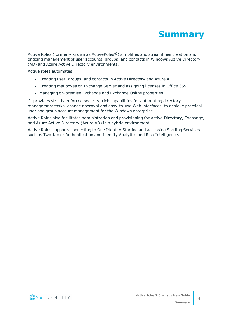

<span id="page-3-0"></span>Active Roles (formerly known as ActiveRoles®) simplifies and streamlines creation and ongoing management of user accounts, groups, and contacts in Windows Active Directory (AD) and Azure Active Directory environments.

Active roles automates:

- Creating user, groups, and contacts in Active Directory and Azure AD
- Creating mailboxes on Exchange Server and assigning licenses in Office 365
- Managing on-premise Exchange and Exchange Online properties

It provides strictly enforced security, rich capabilities for automating directory management tasks, change approval and easy-to-use Web interfaces, to achieve practical user and group account management for the Windows enterprise.

Active Roles also facilitates administration and provisioning for Active Directory, Exchange, and Azure Active Directory (Azure AD) in a hybrid environment.

Active Roles supports connecting to One Identity Starling and accessing Starling Services such as Two-factor Authentication and Identity Analytics and Risk Intelligence.

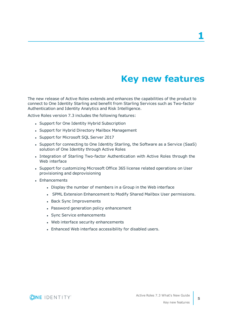## **Key new features**

<span id="page-4-0"></span>The new release of Active Roles extends and enhances the capabilities of the product to connect to One Identity Starling and benefit from Starling Services such as Two-factor Authentication and Identity Analytics and Risk Intelligence.

Active Roles version 7.3 includes the following features:

- Support for One Identity Hybrid Subscription
- Support for Hybrid Directory Mailbox Management
- Support for Microsoft SQL Server 2017
- Support for connecting to One Identity Starling, the Software as a Service (SaaS) solution of One Identity through Active Roles
- Integration of Starling Two-factor Authentication with Active Roles through the Web interface
- Support for customizing Microsoft Office 365 license related operations on User provisioning and deprovisioning
- Enhancements
	- Display the number of members in a Group in the Web interface
	- SPML Extension Enhancement to Modify Shared Mailbox User permissions.
	- Back Sync Improvements
	- Password generation policy enhancement
	- Sync Service enhancements
	- Web interface security enhancements
	- Enhanced Web interface accessibility for disabled users.

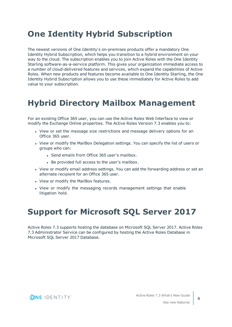## <span id="page-5-0"></span>**One Identity Hybrid Subscription**

The newest versions of One Identity's on-premises products offer a mandatory One Identity Hybrid Subscription, which helps you transition to a hybrid environment on your way to the cloud. The subscription enables you to join Active Roles with the One Identity Starling software-as-a-service platform. This gives your organization immediate access to a number of cloud-delivered features and services, which expand the capabilities of Active Roles. When new products and features become available to One Identity Starling, the One Identity Hybrid Subscription allows you to use these immediately for Active Roles to add value to your subscription.

## <span id="page-5-1"></span>**Hybrid Directory Mailbox Management**

For an existing Office 365 user, you can use the Active Roles Web Interface to view or modify the Exchange Online properties. The Active Roles Version 7.3 enables you to:

- View or set the message size restrictions and message delivery options for an Office 365 user.
- View or modify the MailBox Delegation settings. You can specify the list of users or groups who can:
	- Send emails from Office 365 user's mailbox.
	- Be provided full access to the user's mailbox.
- View or modify email address settings. You can add the forwarding address or set an alternate recipient for an Office 365 user.
- View or modify the MailBox features.
- View or modify the messaging records management settings that enable litigation hold.

## <span id="page-5-2"></span>**Support for Microsoft SQL Server 2017**

Active Roles 7.3 supports hosting the database on Microsoft SQL Server 2017. Active Roles 7.3 Administrator Service can be configured by hosting the Active Roles Database in Microsoft SQL Server 2017 Database.

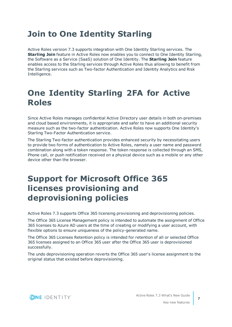## <span id="page-6-0"></span>**Join to One Identity Starling**

Active Roles version 7.3 supports integration with One Identity Starling services. The **Starling Join** feature in Active Roles now enables you to connect to One Identity Starling, the Software as a Service (SaaS) solution of One Identity. The **Starling Join** feature enables access to the Starling services through Active Roles thus allowing to benefit from the Starling services such as Two-factor Authentication and Identity Analytics and Risk Intelligence.

## <span id="page-6-1"></span>**One Identity Starling 2FA for Active Roles**

Since Active Roles manages confidential Active Directory user details in both on-premises and cloud based environments, it is appropriate and safer to have an additional security measure such as the two-factor authentication. Active Roles now supports One Identity's Starling Two-Factor Authentication service.

The Starling Two-factor authentication provides enhanced security by necessitating users to provide two forms of authentication to Active Roles, namely a user name and password combination along with a token response. The token response is collected through an SMS, Phone call, or push notification received on a physical device such as a mobile or any other device other than the browser.

## <span id="page-6-2"></span>**Support for Microsoft Office 365 licenses provisioning and deprovisioning policies**

Active Roles 7.3 supports Office 365 licensing provisioning and deprovisioning policies.

The Office 365 License Management policy is intended to automate the assignment of Office 365 licenses to Azure AD users at the time of creating or modifying a user account, with flexible options to ensure uniqueness of the policy-generated name.

The Office 365 Licenses Retention policy is intended for retention of all or selected Office 365 licenses assigned to an Office 365 user after the Office 365 user is deprovisioned successfully.

The undo deprovisioning operation reverts the Office 365 user's license assignment to the original status that existed before deprovisioning.

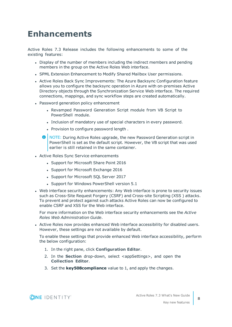## <span id="page-7-0"></span>**Enhancements**

Active Roles 7.3 Release includes the following enhancements to some of the existing features:

- Display of the number of members including the indirect members and pending members in the group on the Active Roles Web interface.
- SPML Extension Enhancement to Modify Shared Mailbox User permissions.
- Active Roles Back Sync Improvements: The Azure Backsync Configuration feature allows you to configure the backsync operation in Azure with on-premises Active Directory objects through the Synchronization Service Web interface. The required connections, mappings, and sync workflow steps are created automatically.
- Password generation policy enhancement
	- <sup>l</sup> Revamped Password Generation Script module from VB Script to PowerShell module.
	- Inclusion of mandatory use of special characters in every password.
	- Provision to configure password length.
	- **O** NOTE: During Active Roles upgrade, the new Password Generation script in PowerShell is set as the default script. However, the VB script that was used earlier is still retained in the same container.
- Active Roles Sync Service enhancements
	- Support for Microsoft Share Point 2016
	- Support for Microsoft Exchange 2016
	- Support for Microsoft SQL Server 2017
	- Support for Windows PowerShell version 5.1
- Web interface security enhancements: Any Web interface is prone to security issues such as Cross-Site Request Forgery (CSRF) and Cross-site Scripting (XSS ) attacks. To prevent and protect against such attacks Active Roles can now be configured to enable CSRF and XSS for the Web interface.

For more information on the Web interface security enhancements see the *Active Roles Web Administration Guide*.

• Active Roles now provides enhanced Web interface accessibility for disabled users. However, these settings are not available by default.

To enable these settings that provide enhanced Web interface accessibility, perform the below configuration:

- 1. In the right pane, click **Configuration Editor**.
- 2. In the **Section** drop-down, select <appSettings>, and open the **Collection Editor**.
- 3. Set the **key508compliance** value to 1, and apply the changes.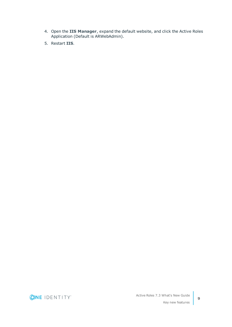- 4. Open the **IIS Manager**, expand the default website, and click the Active Roles Application (Default is ARWebAdmin).
- 5. Restart **IIS**.

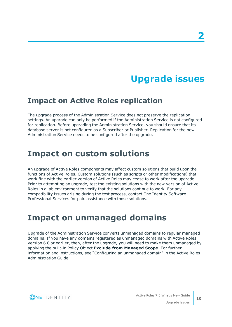# **Upgrade issues**

### <span id="page-9-1"></span><span id="page-9-0"></span>**Impact on Active Roles replication**

The upgrade process of the Administration Service does not preserve the replication settings. An upgrade can only be performed if the Administration Service is not configured for replication. Before upgrading the Administration Service, you should ensure that its database server is not configured as a Subscriber or Publisher. Replication for the new Administration Service needs to be configured after the upgrade.

## <span id="page-9-2"></span>**Impact on custom solutions**

An upgrade of Active Roles components may affect custom solutions that build upon the functions of Active Roles. Custom solutions (such as scripts or other modifications) that work fine with the earlier version of Active Roles may cease to work after the upgrade. Prior to attempting an upgrade, test the existing solutions with the new version of Active Roles in a lab environment to verify that the solutions continue to work. For any compatibility issues arising during the test process, contact One Identity Software Professional Services for paid assistance with those solutions.

## <span id="page-9-3"></span>**Impact on unmanaged domains**

Upgrade of the Administration Service converts unmanaged domains to regular managed domains. If you have any domains registered as unmanaged domains with Active Roles version 6.8 or earlier, then, after the upgrade, you will need to make them unmanaged by applying the built-in Policy Object **Exclude from Managed Scope**. For further information and instructions, see "Configuring an unmanaged domain" in the Active Roles Administration Guide.

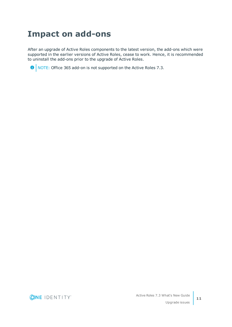## <span id="page-10-0"></span>**Impact on add-ons**

After an upgrade of Active Roles components to the latest version, the add-ons which were supported in the earlier versions of Active Roles, cease to work. Hence, it is recommended to uninstall the add-ons prior to the upgrade of Active Roles.

**O** NOTE: Office 365 add-on is not supported on the Active Roles 7.3.

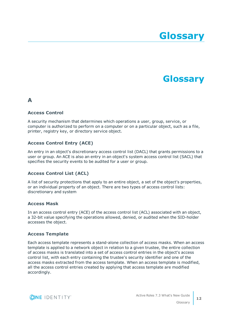# **Glossary**

## **Glossary**

### <span id="page-11-0"></span>**A**

#### **Access Control**

A security mechanism that determines which operations a user, group, service, or computer is authorized to perform on a computer or on a particular object, such as a file, printer, registry key, or directory service object.

#### **Access Control Entry (ACE)**

An entry in an object's discretionary access control list (DACL) that grants permissions to a user or group. An ACE is also an entry in an object's system access control list (SACL) that specifies the security events to be audited for a user or group.

#### **Access Control List (ACL)**

A list of security protections that apply to an entire object, a set of the object's properties, or an individual property of an object. There are two types of access control lists: discretionary and system

#### **Access Mask**

In an access control entry (ACE) of the access control list (ACL) associated with an object, a 32-bit value specifying the operations allowed, denied, or audited when the SID-holder accesses the object.

#### **Access Template**

Each access template represents a stand-alone collection of access masks. When an access template is applied to a network object in relation to a given trustee, the entire collection of access masks is translated into a set of access control entries in the object's access control list, with each entry containing the trustee's security identifier and one of the access masks extracted from the access template. When an access template is modified, all the access control entries created by applying that access template are modified accordingly.

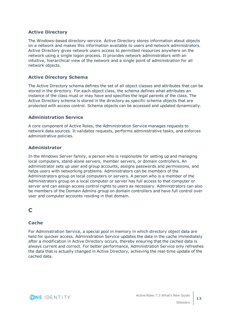#### **Active Directory**

The Windows-based directory service. Active Directory stores information about objects on a network and makes this information available to users and network administrators. Active Directory gives network users access to permitted resources anywhere on the network using a single logon process. It provides network administrators with an intuitive, hierarchical view of the network and a single point of administration for all network objects.

#### **Active Directory Schema**

The Active Directory schema defines the set of all object classes and attributes that can be stored in the directory. For each object class, the schema defines what attributes an instance of the class must or may have and specifies the legal parents of the class. The Active Directory schema is stored in the directory as specific schema objects that are protected with access control. Schema objects can be accessed and updated dynamically.

#### **Administration Service**

A core component of Active Roles, the Administration Service manages requests to network data sources. It validates requests, performs administrative tasks, and enforces administrative policies.

#### **Administrator**

In the Windows Server family, a person who is responsible for setting up and managing local computers, stand-alone servers, member servers, or domain controllers. An administrator sets up user and group accounts, assigns passwords and permissions, and helps users with networking problems. Administrators can be members of the Administrators group on local computers or servers. A person who is a member of the Administrators group on a local computer or server has full access to that computer or server and can assign access control rights to users as necessary. Administrators can also be members of the Domain Admins group on domain controllers and have full control over user and computer accounts residing in that domain.

### **C**

#### **Cache**

For Administration Service, a special pool in memory in which directory object data are held for quicker access. Administration Service updates the data in the cache immediately after a modification in Active Directory occurs, thereby ensuring that the cached data is always current and correct. For better performance, Administration Service only refreshes the data that is actually changed in Active Directory, achieving the real-time update of the cached data.

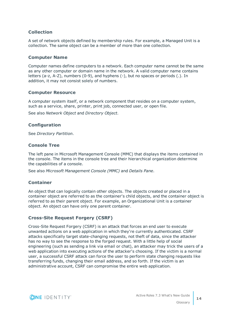#### **Collection**

A set of network objects defined by membership rules. For example, a Managed Unit is a collection. The same object can be a member of more than one collection.

#### **Computer Name**

Computer names define computers to a network. Each computer name cannot be the same as any other computer or domain name in the network. A valid computer name contains letters (a-z, A-Z), numbers (0-9), and hyphens (-), but no spaces or periods (.). In addition, it may not consist solely of numbers.

#### **Computer Resource**

A computer system itself, or a network component that resides on a computer system, such as a service, share, printer, print job, connected user, or open file.

See also *Network Object* and *Directory Object*.

#### **Configuration**

See *Directory Partition*.

#### **Console Tree**

The left pane in Microsoft Management Console (MMC) that displays the items contained in the console. The items in the console tree and their hierarchical organization determine the capabilities of a console.

See also *Microsoft Management Console (MMC)* and *Details Pane*.

#### **Container**

An object that can logically contain other objects. The objects created or placed in a container object are referred to as the container's child objects, and the container object is referred to as their parent object. For example, an Organizational Unit is a container object. An object can have only one parent container.

#### **Cross-Site Request Forgery (CSRF)**

Cross-Site Request Forgery (CSRF) is an attack that forces an end user to execute unwanted actions on a web application in which they're currently authenticated. CSRF attacks specifically target state-changing requests, not theft of data, since the attacker has no way to see the response to the forged request. With a little help of social engineering (such as sending a link via email or chat), an attacker may trick the users of a web application into executing actions of the attacker's choosing. If the victim is a normal user, a successful CSRF attack can force the user to perform state changing requests like transferring funds, changing their email address, and so forth. If the victim is an administrative account, CSRF can compromise the entire web application.

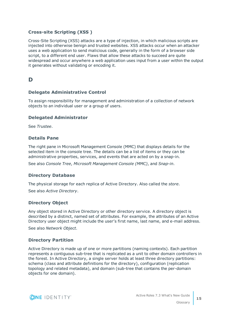#### **Cross-site Scripting (XSS )**

Cross-Site Scripting (XSS) attacks are a type of injection, in which malicious scripts are injected into otherwise benign and trusted websites. XSS attacks occur when an attacker uses a web application to send malicious code, generally in the form of a browser side script, to a different end user. Flaws that allow these attacks to succeed are quite widespread and occur anywhere a web application uses input from a user within the output it generates without validating or encoding it.

### **D**

#### **Delegate Administrative Control**

To assign responsibility for management and administration of a collection of network objects to an individual user or a group of users.

#### **Delegated Administrator**

See *Trustee*.

#### **Details Pane**

The right pane in Microsoft Management Console (MMC) that displays details for the selected item in the console tree. The details can be a list of items or they can be administrative properties, services, and events that are acted on by a snap-in.

See also *Console Tree*, *Microsoft Management Console (MMC)*, and *Snap-in*.

#### **Directory Database**

The physical storage for each replica of Active Directory. Also called the *store*.

See also *Active Directory*.

#### **Directory Object**

Any object stored in Active Directory or other directory service. A directory object is described by a distinct, named set of attributes. For example, the attributes of an Active Directory user object might include the user's first name, last name, and e-mail address.

See also *Network Object*.

#### **Directory Partition**

Active Directory is made up of one or more partitions (naming contexts). Each partition represents a contiguous sub-tree that is replicated as a unit to other domain controllers in the forest. In Active Directory, a single server holds at least three directory partitions: schema (class and attribute definitions for the directory), configuration (replication topology and related metadata), and domain (sub-tree that contains the per-domain objects for one domain).

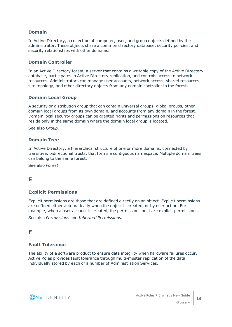#### **Domain**

In Active Directory, a collection of computer, user, and group objects defined by the administrator. These objects share a common directory database, security policies, and security relationships with other domains.

#### **Domain Controller**

In an Active Directory forest, a server that contains a writable copy of the Active Directory database, participates in Active Directory replication, and controls access to network resources. Administrators can manage user accounts, network access, shared resources, site topology, and other directory objects from any domain controller in the forest.

#### **Domain Local Group**

A security or distribution group that can contain universal groups, global groups, other domain local groups from its own domain, and accounts from any domain in the forest. Domain local security groups can be granted rights and permissions on resources that reside only in the same domain where the domain local group is located.

See also *Group*.

#### **Domain Tree**

In Active Directory, a hierarchical structure of one or more domains, connected by transitive, bidirectional trusts, that forms a contiguous namespace. Multiple domain trees can belong to the same forest.

See also *Forest*.

### **E**

#### **Explicit Permissions**

Explicit permissions are those that are defined directly on an object. Explicit permissions are defined either automatically when the object is created, or by user action. For example, when a user account is created, the permissions on it are explicit permissions.

See also *Permissions* and *Inherited Permissions*.

### **F**

#### **Fault Tolerance**

The ability of a software product to ensure data integrity when hardware failures occur. Active Roles provides fault tolerance through multi-muster replication of the data individually stored by each of a number of Administration Services.

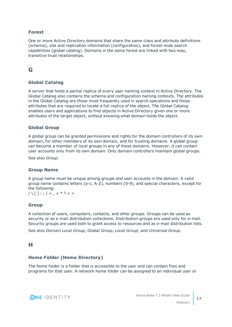#### **Forest**

One or more Active Directory domains that share the same class and attribute definitions (schema), site and replication information (configuration), and forest-wide search capabilities (global catalog). Domains in the same forest are linked with two-way, transitive trust relationships.

### **G**

#### **Global Catalog**

A server that holds a partial replica of every user-naming context in Active Directory. The Global Catalog also contains the schema and configuration naming contexts. The attributes in the Global Catalog are those most frequently used in search operations and those attributes that are required to locate a full replica of the object. The Global Catalog enables users and applications to find objects in Active Directory given one or more attributes of the target object, without knowing what domain holds the object.

#### **Global Group**

A global group can be granted permissions and rights for the domain controllers of its own domain, for other members of its own domain, and for trusting domains. A global group can become a member of local groups in any of these domains. However, it can contain user accounts only from its own domain. Only domain controllers maintain global groups.

See also *Group*.

#### **Group Name**

A group name must be unique among groups and user accounts in the domain. A valid group name contains letters (a-z, A-Z), numbers (0-9), and special characters, except for the following:

 $/ \setminus \lceil \cdot \rceil$ :;  $| = 0, + * ? < 1$ 

#### **Group**

A collection of users, computers, contacts, and other groups. Groups can be used as security or as e-mail distribution collections. Distribution groups are used only for e-mail. Security groups are used both to grant access to resources and as e-mail distribution lists.

See also *Domain Local Group*, *Global Group*, *Local Group*, and *Universal Group*.

### **H**

#### **Home Folder (Home Directory)**

The home folder is a folder that is accessible to the user and can contain files and programs for that user. A network home folder can be assigned to an individual user or

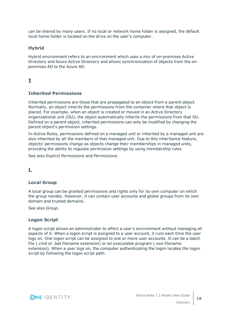can be shared by many users. If no local or network home folder is assigned, the default local home folder is located on the drive on the user's computer.

#### **Hybrid**

Hybrid environment refers to an environment which uses a mix of on-premises Active Directory and Azure Active Directory and allows synchronization of objects from the onpremises AD to the Azure AD.

### **I**

#### **Inherited Permissions**

Inherited permissions are those that are propagated to an object from a parent object. Normally, an object inherits the permissions from the container where that object is placed. For example, when an object is created or moved in an Active Directory organizational unit (OU), the object automatically inherits the permissions from that OU. Defined on a parent object, inherited permissions can only be modified by changing the parent object's permission settings.

In Active Roles, permissions defined on a managed unit or inherited by a managed unit are also inherited by all the members of that managed unit. Due to this inheritance feature, objects' permissions change as objects change their memberships in managed units, providing the ability to regulate permission settings by using membership rules.

See also *Explicit Permissions* and *Permissions*.

### **L**

#### **Local Group**

A local group can be granted permissions and rights only for its own computer on which the group resides. However, it can contain user accounts and global groups from its own domain and trusted domains.

See also *Group*.

#### **Logon Script**

A logon script allows an administrator to affect a user's environment without managing all aspects of it. When a logon script is assigned to a user account, it runs each time the user logs on. One logon script can be assigned to one or more user accounts. It can be a batch file (.cmd or .bat filename extension) or an executable program (.exe filename extension). When a user logs on, the computer authenticating the logon locates the logon script by following the logon script path.

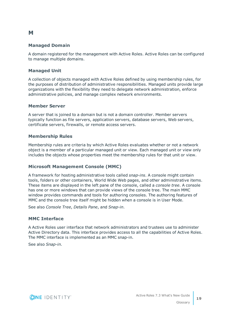#### **Managed Domain**

A domain registered for the management with Active Roles. Active Roles can be configured to manage multiple domains.

#### **Managed Unit**

A collection of objects managed with Active Roles defined by using membership rules, for the purposes of distribution of administrative responsibilities. Managed units provide large organizations with the flexibility they need to delegate network administration, enforce administrative policies, and manage complex network environments.

#### **Member Server**

A server that is joined to a domain but is not a domain controller. Member servers typically function as file servers, application servers, database servers, Web servers, certificate servers, firewalls, or remote access servers.

#### **Membership Rules**

Membership rules are criteria by which Active Roles evaluates whether or not a network object is a member of a particular managed unit or view. Each managed unit or view only includes the objects whose properties meet the membership rules for that unit or view.

#### **Microsoft Management Console (MMC)**

A framework for hosting administrative tools called *snap-ins*. A console might contain tools, folders or other containers, World Wide Web pages, and other administrative items. These items are displayed in the left pane of the console, called a *console tree*. A console has one or more windows that can provide views of the console tree. The main MMC window provides commands and tools for authoring consoles. The authoring features of MMC and the console tree itself might be hidden when a console is in User Mode.

See also *Console Tree*, *Details Pane*, and *Snap-in*.

#### **MMC Interface**

A Active Roles user interface that network administrators and trustees use to administer Active Directory data. This interface provides access to all the capabilities of Active Roles. The MMC interface is implemented as an MMC snap-in.

See also *Snap-in*.

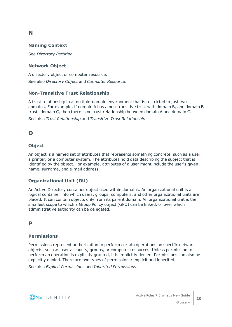### **N**

#### **Naming Context**

See *Directory Partition*.

#### **Network Object**

A directory object or computer resource.

See also *Directory Object* and *Computer Resource*.

#### **Non-Transitive Trust Relationship**

A trust relationship in a multiple-domain environment that is restricted to just two domains. For example, if domain A has a non-transitive trust with domain B, and domain B trusts domain C, then there is no trust relationship between domain A and domain C.

See also *Trust Relationship* and *Transitive Trust Relationship*.

### **O**

#### **Object**

An object is a named set of attributes that represents something concrete, such as a user, a printer, or a computer system. The attributes hold data describing the subject that is identified by the object. For example, attributes of a user might include the user's given name, surname, and e-mail address.

#### **Organizational Unit (OU)**

An Active Directory container object used within domains. An organizational unit is a logical container into which users, groups, computers, and other organizational units are placed. It can contain objects only from its parent domain. An organizational unit is the smallest scope to which a Group Policy object (GPO) can be linked, or over which administrative authority can be delegated.

### **P**

### **Permissions**

Permissions represent authorization to perform certain operations on specific network objects, such as user accounts, groups, or computer resources. Unless permission to perform an operation is explicitly granted, it is implicitly denied. Permissions can also be explicitly denied. There are two types of permissions: explicit and inherited.

See also *Explicit Permissions* and *Inherited Permissions*.

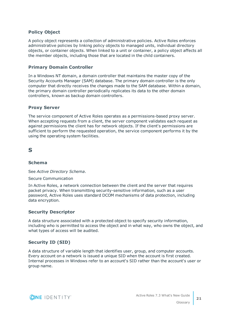#### **Policy Object**

A policy object represents a collection of administrative policies. Active Roles enforces administrative policies by linking policy objects to managed units, individual directory objects, or container objects. When linked to a unit or container, a policy object affects all the member objects, including those that are located in the child containers.

#### **Primary Domain Controller**

In a Windows NT domain, a domain controller that maintains the master copy of the Security Accounts Manager (SAM) database. The primary domain controller is the only computer that directly receives the changes made to the SAM database. Within a domain, the primary domain controller periodically replicates its data to the other domain controllers, known as backup domain controllers.

#### **Proxy Server**

The service component of Active Roles operates as a permissions-based proxy server. When accepting requests from a client, the server component validates each request as against permissions the client has for network objects. If the client's permissions are sufficient to perform the requested operation, the service component performs it by the using the operating system facilities.

### **S**

#### **Schema**

See *Active Directory Schema*.

#### Secure Communication

In Active Roles, a network connection between the client and the server that requires packet privacy. When transmitting security-sensitive information, such as a user password, Active Roles uses standard DCOM mechanisms of data protection, including data encryption.

#### **Security Descriptor**

A data structure associated with a protected object to specify security information, including who is permitted to access the object and in what way, who owns the object, and what types of access will be audited.

#### **Security ID (SID)**

A data structure of variable length that identifies user, group, and computer accounts. Every account on a network is issued a unique SID when the account is first created. Internal processes in Windows refer to an account's SID rather than the account's user or group name.

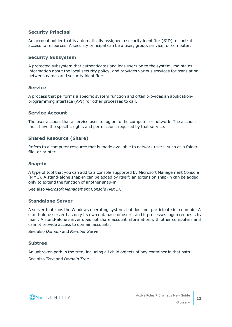#### **Security Principal**

An account holder that is automatically assigned a security identifier (SID) to control access to resources. A security principal can be a user, group, service, or computer.

#### **Security Subsystem**

A protected subsystem that authenticates and logs users on to the system, maintains information about the local security policy, and provides various services for translation between names and security identifiers.

#### **Service**

A process that performs a specific system function and often provides an applicationprogramming interface (API) for other processes to call.

#### **Service Account**

The user account that a service uses to log on to the computer or network. The account must have the specific rights and permissions required by that service.

#### **Shared Resource (Share)**

Refers to a computer resource that is made available to network users, such as a folder, file, or printer.

#### **Snap-in**

A type of tool that you can add to a console supported by Microsoft Management Console (MMC). A stand-alone snap-in can be added by itself; an extension snap-in can be added only to extend the function of another snap-in.

See also *Microsoft Management Console (MMC)*.

#### **Standalone Server**

A server that runs the Windows operating system, but does not participate in a domain. A stand-alone server has only its own database of users, and it processes logon requests by itself. A stand-alone server does not share account information with other computers and cannot provide access to domain accounts.

See also *Domain* and *Member Server*.

#### **Subtree**

An unbroken path in the tree, including all child objects of any container in that path. See also *Tree* and *Domain Tree*.

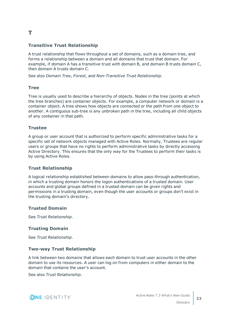### **T**

#### **Transitive Trust Relationship**

A trust relationship that flows throughout a set of domains, such as a domain tree, and forms a relationship between a domain and all domains that trust that domain. For example, if domain A has a transitive trust with domain B, and domain B trusts domain C, then domain A trusts domain C.

See also *Domain Tree*, *Forest*, and *Non-Transitive Trust Relationship*.

#### **Tree**

Tree is usually used to describe a hierarchy of objects. Nodes in the tree (points at which the tree branches) are container objects. For example, a computer network or domain is a container object. A tree shows how objects are connected or the path from one object to another. A contiguous sub-tree is any unbroken path in the tree, including all child objects of any container in that path.

#### **Trustee**

A group or user account that is authorized to perform specific administrative tasks for a specific set of network objects managed with Active Roles. Normally, Trustees are regular users or groups that have no rights to perform administrative tasks by directly accessing Active Directory. This ensures that the only way for the Trustees to perform their tasks is by using Active Roles.

#### **Trust Relationship**

A logical relationship established between domains to allow pass-through authentication, in which a trusting domain honors the logon authentications of a trusted domain. User accounts and global groups defined in a trusted domain can be given rights and permissions in a trusting domain, even though the user accounts or groups don't exist in the trusting domain's directory.

#### **Trusted Domain**

See *Trust Relationship*.

#### **Trusting Domain**

See *Trust Relationship*.

#### **Two-way Trust Relationship**

A link between two domains that allows each domain to trust user accounts in the other domain to use its resources. A user can log on from computers in either domain to the domain that contains the user's account.

See also *Trust Relationship*.

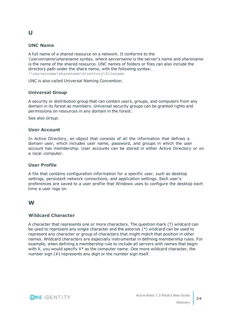#### **UNC Name**

**U**

A full name of a shared resource on a network. It conforms to the *\\servername\sharename* syntax, where *servername* is the server's name and *sharename* is the name of the shared resource. UNC names of folders or files can also include the directory path under the share name, with the following syntax: \\servername\sharename\directory\filename

UNC is also called Universal Naming Convention.

#### **Universal Group**

A security or distribution group that can contain users, groups, and computers from any domain in its forest as members. Universal security groups can be granted rights and permissions on resources in any domain in the forest.

See also *Group*.

#### **User Account**

In Active Directory, an object that consists of all the information that defines a domain user, which includes user name, password, and groups in which the user account has membership. User accounts can be stored in either Active Directory or on a local computer.

#### **User Profile**

A file that contains configuration information for a specific user, such as desktop settings, persistent network connections, and application settings. Each user's preferences are saved to a user profile that Windows uses to configure the desktop each time a user logs on.

#### **W**

#### **Wildcard Character**

A character that represents one or more characters. The question mark (?) wildcard can be used to represent any single character and the asterisk (\*) wildcard can be used to represent any character or group of characters that might match that position in other names. Wildcard characters are especially instrumental in defining membership rules. For example, when defining a membership rule to include all servers with names that begin with X, you would specify  $X^*$  as the computer name. One more wildcard character, the number sign (#) represents any digit or the number sign itself.